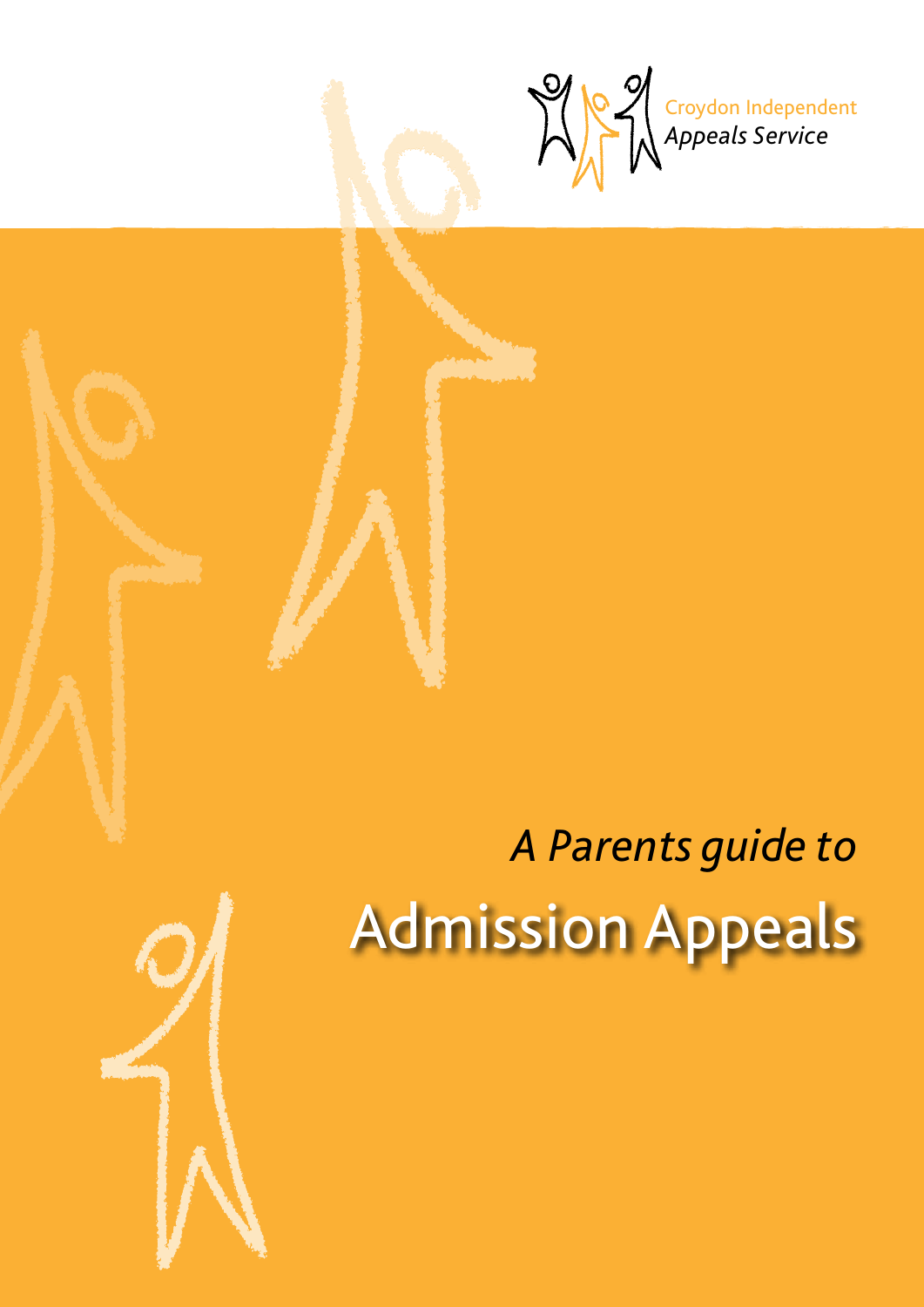

# *A Parents guide to* Admission Appeals

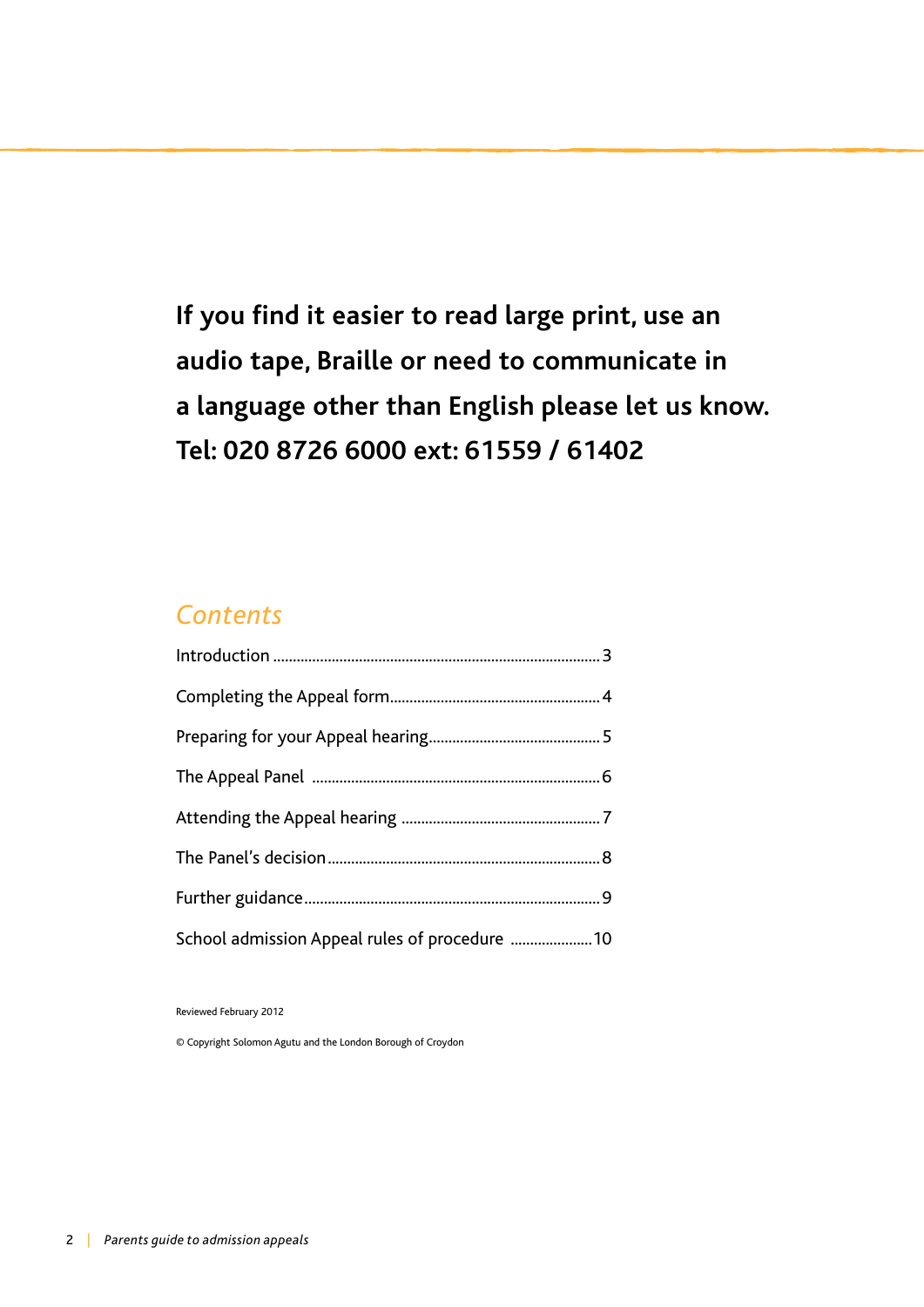**If you find it easier to read large print, use an audio tape, Braille or need to communicate in a language other than English please let us know. Tel: 020 8726 6000 ext: 61559 / 61402**

## *Contents*

| School admission Appeal rules of procedure  10 |  |
|------------------------------------------------|--|

Reviewed February 2012

© Copyright Solomon Agutu and the London Borough of Croydon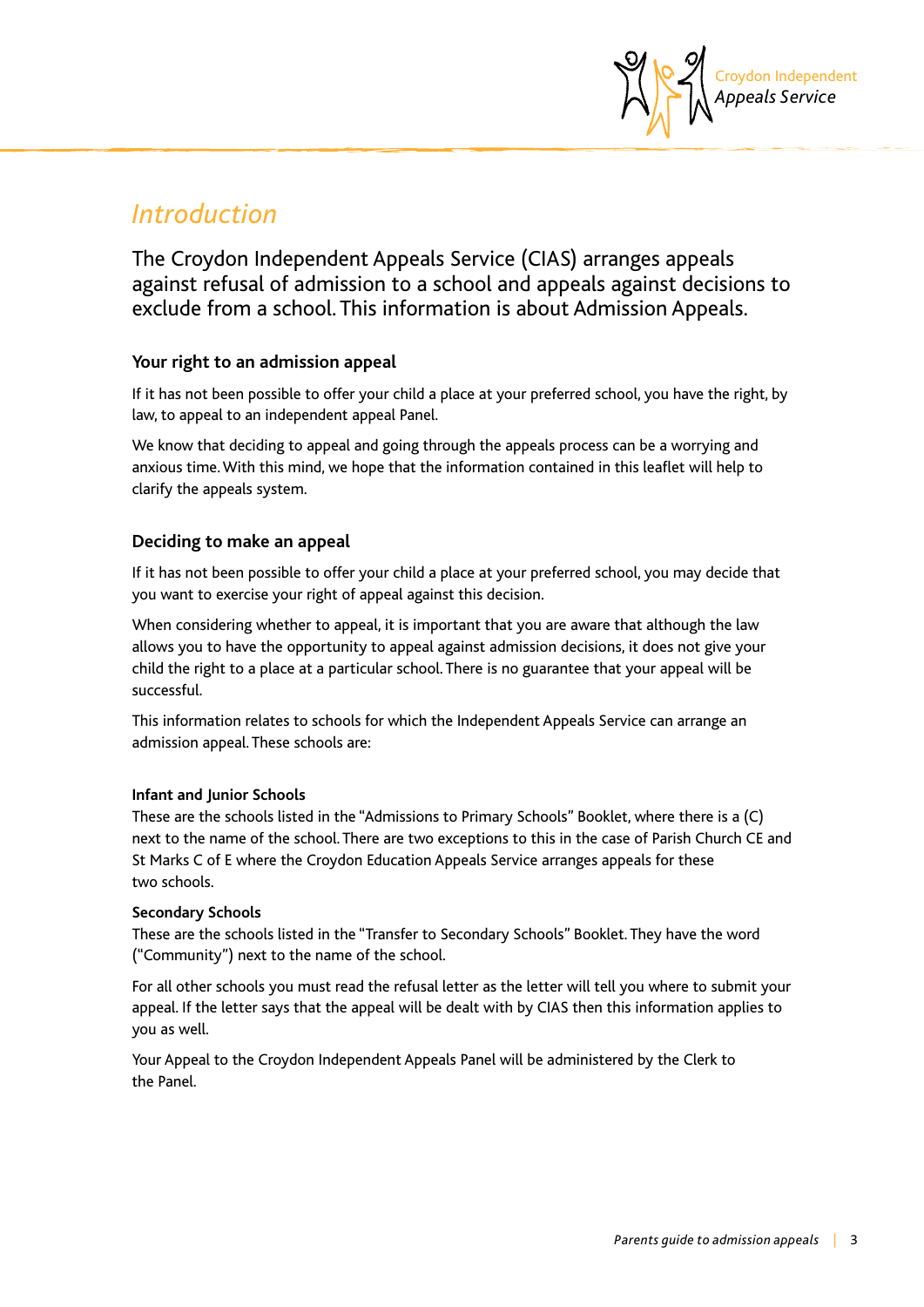

## *Introduction*

The Croydon Independent Appeals Service (CIAS) arranges appeals against refusal of admission to a school and appeals against decisions to exclude from a school. This information is about Admission Appeals.

#### **Your right to an admission appeal**

If it has not been possible to offer your child a place at your preferred school, you have the right, by law, to appeal to an independent appeal Panel.

We know that deciding to appeal and going through the appeals process can be a worrying and anxious time. With this mind, we hope that the information contained in this leaflet will help to clarify the appeals system.

#### **Deciding to make an appeal**

If it has not been possible to offer your child a place at your preferred school, you may decide that you want to exercise your right of appeal against this decision.

When considering whether to appeal, it is important that you are aware that although the law allows you to have the opportunity to appeal against admission decisions, it does not give your child the right to a place at a particular school. There is no guarantee that your appeal will be successful.

This information relates to schools for which the Independent Appeals Service can arrange an admission appeal. These schools are:

#### **Infant and Junior Schools**

These are the schools listed in the "Admissions to Primary Schools" Booklet, where there is a (C) next to the name of the school. There are two exceptions to this in the case of Parish Church CE and St Marks C of E where the Croydon Education Appeals Service arranges appeals for these two schools.

#### **Secondary Schools**

These are the schools listed in the "Transfer to Secondary Schools" Booklet. They have the word ("Community") next to the name of the school.

For all other schools you must read the refusal letter as the letter will tell you where to submit your appeal. If the letter says that the appeal will be dealt with by CIAS then this information applies to you as well.

Your Appeal to the Croydon Independent Appeals Panel will be administered by the Clerk to the Panel.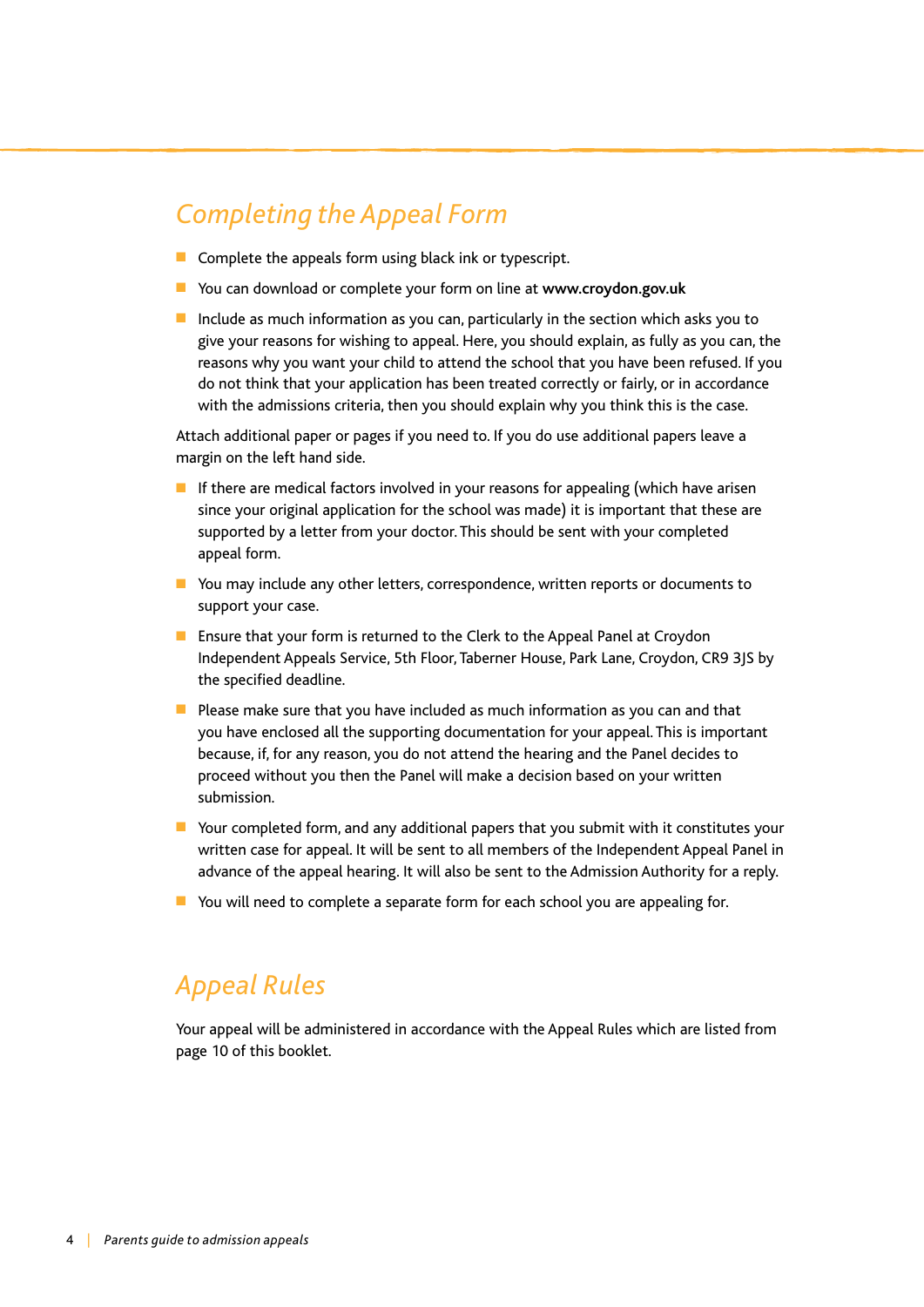## *Completing the Appeal Form*

- $\blacksquare$  Complete the appeals form using black ink or typescript.
- You can download or complete your form on line at www.crovdon.gov.uk
- $\blacksquare$  Include as much information as you can, particularly in the section which asks you to give your reasons for wishing to appeal. Here, you should explain, as fully as you can, the reasons why you want your child to attend the school that you have been refused. If you do not think that your application has been treated correctly or fairly, or in accordance with the admissions criteria, then you should explain why you think this is the case.

Attach additional paper or pages if you need to. If you do use additional papers leave a margin on the left hand side.

- If there are medical factors involved in your reasons for appealing (which have arisen since your original application for the school was made) it is important that these are supported by a letter from your doctor. This should be sent with your completed appeal form.
- You may include any other letters, correspondence, written reports or documents to support your case.
- Ensure that your form is returned to the Clerk to the Appeal Panel at Croydon Independent Appeals Service, 5th Floor, Taberner House, Park Lane, Croydon, CR9 3JS by the specified deadline.
- $\blacksquare$  Please make sure that you have included as much information as you can and that you have enclosed all the supporting documentation for your appeal. This is important because, if, for any reason, you do not attend the hearing and the Panel decides to proceed without you then the Panel will make a decision based on your written submission.
- $\blacksquare$  Your completed form, and any additional papers that you submit with it constitutes your written case for appeal. It will be sent to all members of the Independent Appeal Panel in advance of the appeal hearing. It will also be sent to the Admission Authority for a reply.
- $\blacksquare$  You will need to complete a separate form for each school you are appealing for.

## *Appeal Rules*

Your appeal will be administered in accordance with the Appeal Rules which are listed from page 10 of this booklet.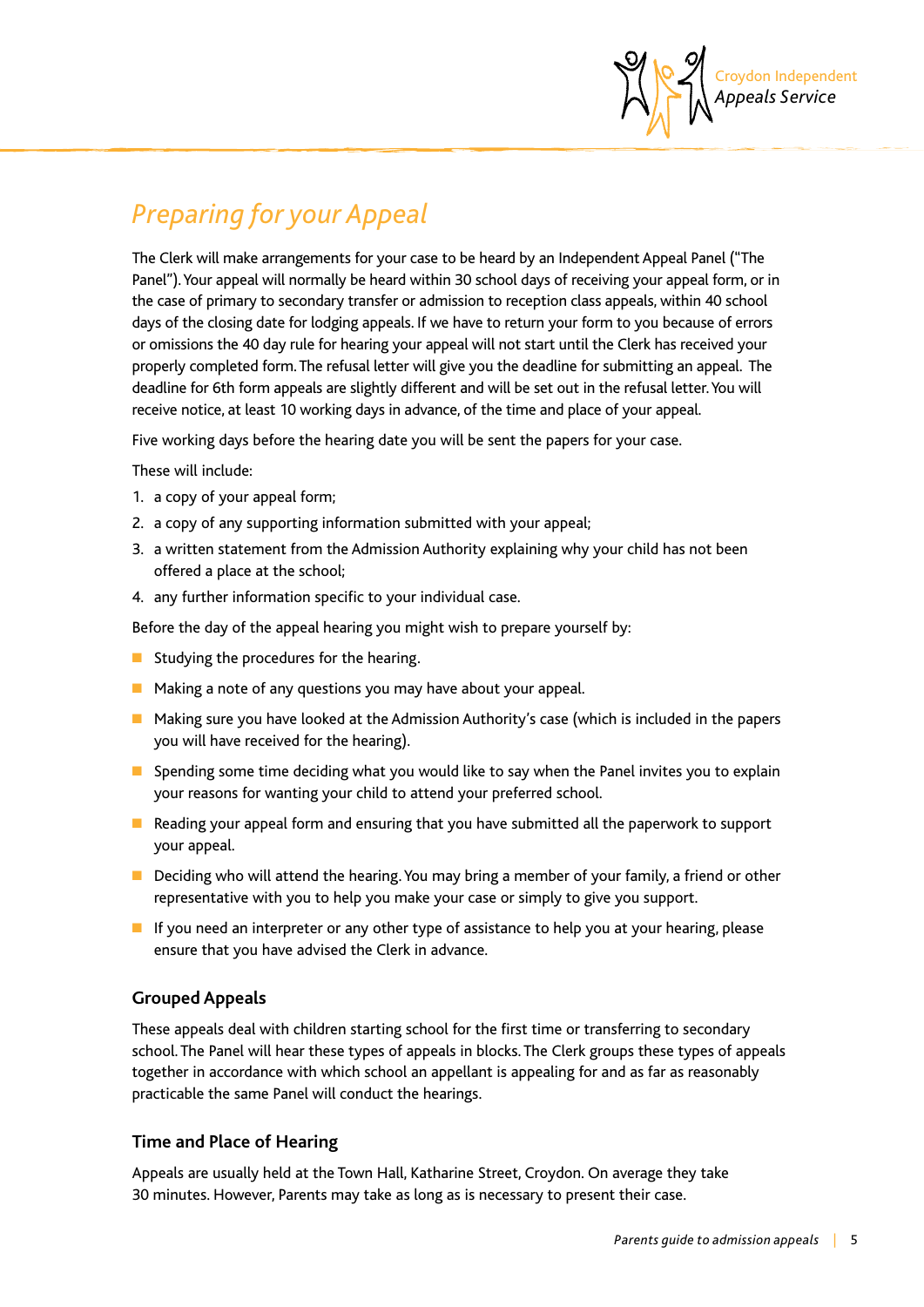

# *Preparing for your Appeal*

The Clerk will make arrangements for your case to be heard by an Independent Appeal Panel ("The Panel"). Your appeal will normally be heard within 30 school days of receiving your appeal form, or in the case of primary to secondary transfer or admission to reception class appeals, within 40 school days of the closing date for lodging appeals. If we have to return your form to you because of errors or omissions the 40 day rule for hearing your appeal will not start until the Clerk has received your properly completed form. The refusal letter will give you the deadline for submitting an appeal. The deadline for 6th form appeals are slightly different and will be set out in the refusal letter. You will receive notice, at least 10 working days in advance, of the time and place of your appeal.

Five working days before the hearing date you will be sent the papers for your case.

These will include:

- 1. a copy of your appeal form;
- 2. a copy of any supporting information submitted with your appeal;
- 3. a written statement from the Admission Authority explaining why your child has not been offered a place at the school;
- 4. any further information specific to your individual case.

Before the day of the appeal hearing you might wish to prepare yourself by:

- $\blacksquare$  Studving the procedures for the hearing.
- $\blacksquare$  Making a note of any questions you may have about your appeal.
- $\blacksquare$  Making sure you have looked at the Admission Authority's case (which is included in the papers you will have received for the hearing).
- **n** Spending some time deciding what you would like to say when the Panel invites you to explain your reasons for wanting your child to attend your preferred school.
- **n** Reading your appeal form and ensuring that you have submitted all the paperwork to support your appeal.
- $\blacksquare$  Deciding who will attend the hearing. You may bring a member of your family, a friend or other representative with you to help you make your case or simply to give you support.
- $\blacksquare$  If you need an interpreter or any other type of assistance to help you at your hearing, please ensure that you have advised the Clerk in advance.

#### **Grouped Appeals**

These appeals deal with children starting school for the first time or transferring to secondary school. The Panel will hear these types of appeals in blocks. The Clerk groups these types of appeals together in accordance with which school an appellant is appealing for and as far as reasonably practicable the same Panel will conduct the hearings.

#### **Time and Place of Hearing**

Appeals are usually held at the Town Hall, Katharine Street, Croydon. On average they take 30 minutes. However, Parents may take as long as is necessary to present their case.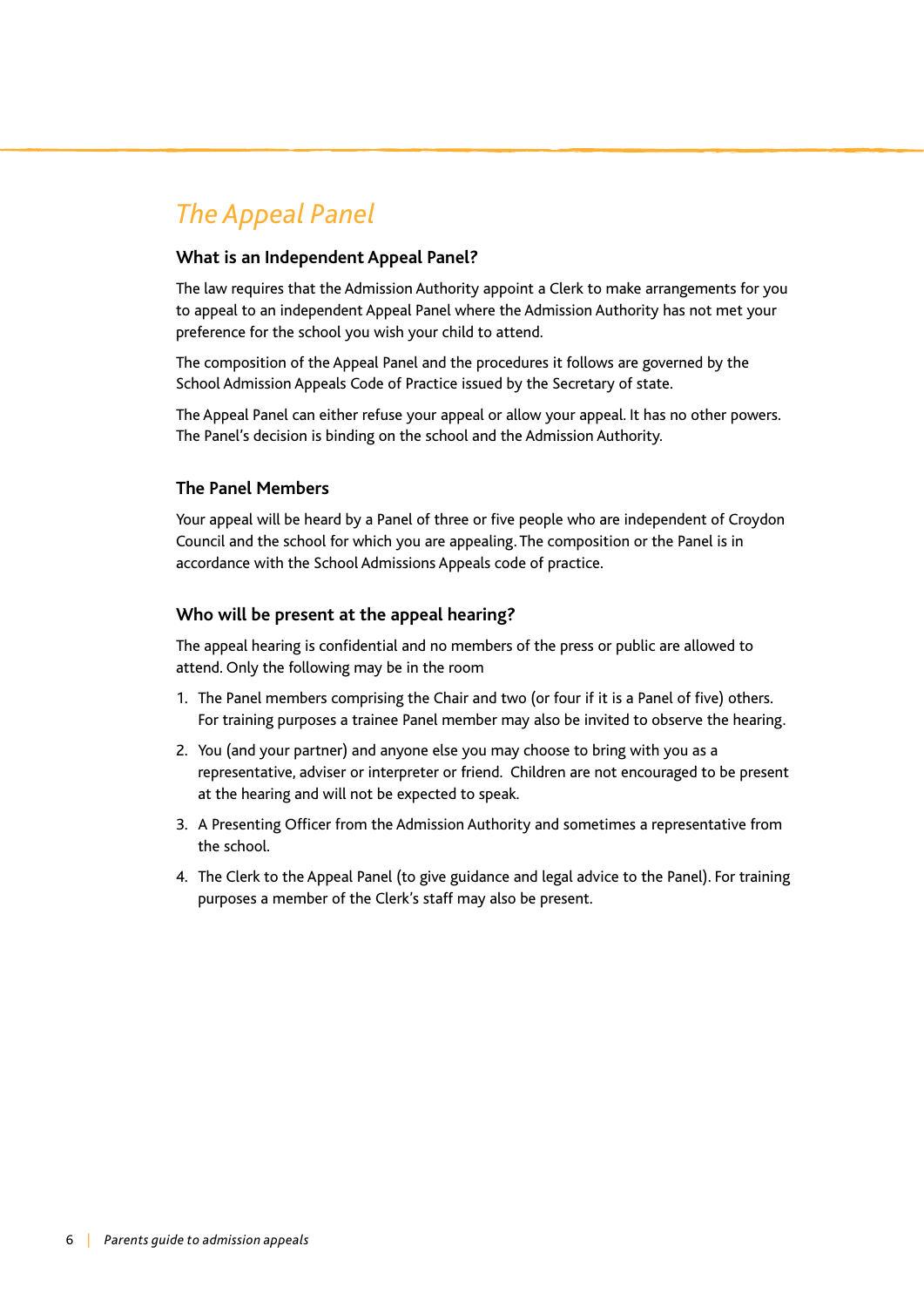# *The Appeal Panel*

#### **What is an Independent Appeal Panel?**

The law requires that the Admission Authority appoint a Clerk to make arrangements for you to appeal to an independent Appeal Panel where the Admission Authority has not met your preference for the school you wish your child to attend.

The composition of the Appeal Panel and the procedures it follows are governed by the School Admission Appeals Code of Practice issued by the Secretary of state.

The Appeal Panel can either refuse your appeal or allow your appeal. It has no other powers. The Panel's decision is binding on the school and the Admission Authority.

#### **The Panel Members**

Your appeal will be heard by a Panel of three or five people who are independent of Croydon Council and the school for which you are appealing. The composition or the Panel is in accordance with the School Admissions Appeals code of practice.

#### **Who will be present at the appeal hearing?**

The appeal hearing is confidential and no members of the press or public are allowed to attend. Only the following may be in the room

- 1. The Panel members comprising the Chair and two (or four if it is a Panel of five) others. For training purposes a trainee Panel member may also be invited to observe the hearing.
- 2. You (and your partner) and anyone else you may choose to bring with you as a representative, adviser or interpreter or friend. Children are not encouraged to be present at the hearing and will not be expected to speak.
- 3. A Presenting Officer from the Admission Authority and sometimes a representative from the school.
- 4. The Clerk to the Appeal Panel (to give guidance and legal advice to the Panel). For training purposes a member of the Clerk's staff may also be present.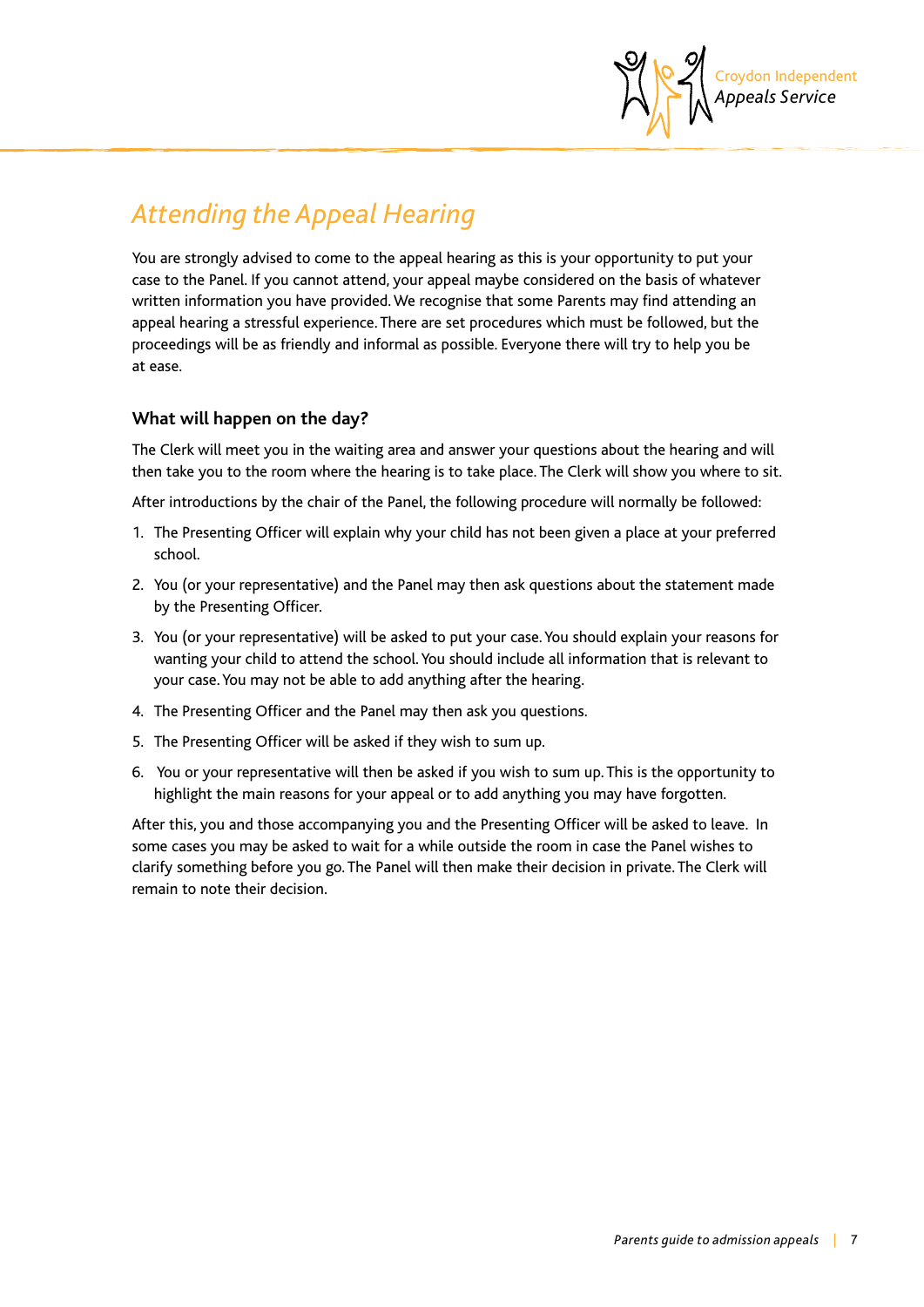

# *Attending the Appeal Hearing*

You are strongly advised to come to the appeal hearing as this is your opportunity to put your case to the Panel. If you cannot attend, your appeal maybe considered on the basis of whatever written information you have provided. We recognise that some Parents may find attending an appeal hearing a stressful experience. There are set procedures which must be followed, but the proceedings will be as friendly and informal as possible. Everyone there will try to help you be at ease.

#### **What will happen on the day?**

The Clerk will meet you in the waiting area and answer your questions about the hearing and will then take you to the room where the hearing is to take place. The Clerk will show you where to sit.

After introductions by the chair of the Panel, the following procedure will normally be followed:

- 1. The Presenting Officer will explain why your child has not been given a place at your preferred school.
- 2. You (or your representative) and the Panel may then ask questions about the statement made by the Presenting Officer.
- 3. You (or your representative) will be asked to put your case. You should explain your reasons for wanting your child to attend the school. You should include all information that is relevant to your case. You may not be able to add anything after the hearing.
- 4. The Presenting Officer and the Panel may then ask you questions.
- 5. The Presenting Officer will be asked if they wish to sum up.
- 6. You or your representative will then be asked if you wish to sum up. This is the opportunity to highlight the main reasons for your appeal or to add anything you may have forgotten.

After this, you and those accompanying you and the Presenting Officer will be asked to leave. In some cases you may be asked to wait for a while outside the room in case the Panel wishes to clarify something before you go. The Panel will then make their decision in private. The Clerk will remain to note their decision.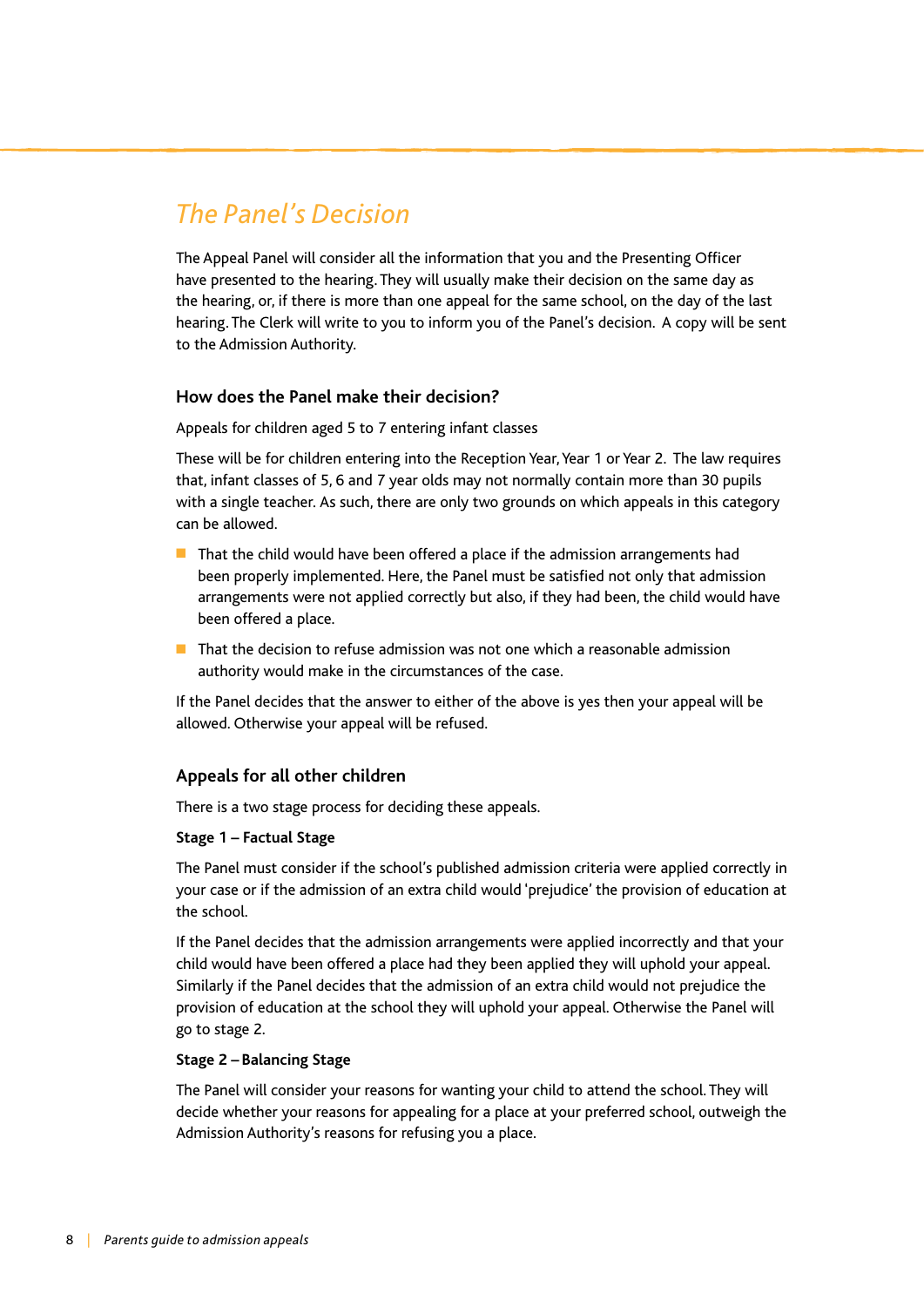# *The Panel's Decision*

The Appeal Panel will consider all the information that you and the Presenting Officer have presented to the hearing. They will usually make their decision on the same day as the hearing, or, if there is more than one appeal for the same school, on the day of the last hearing. The Clerk will write to you to inform you of the Panel's decision. A copy will be sent to the Admission Authority.

#### **How does the Panel make their decision?**

Appeals for children aged 5 to 7 entering infant classes

These will be for children entering into the Reception Year, Year 1 or Year 2. The law requires that, infant classes of 5, 6 and 7 year olds may not normally contain more than 30 pupils with a single teacher. As such, there are only two grounds on which appeals in this category can be allowed.

- $\blacksquare$  That the child would have been offered a place if the admission arrangements had been properly implemented. Here, the Panel must be satisfied not only that admission arrangements were not applied correctly but also, if they had been, the child would have been offered a place.
- $\blacksquare$  That the decision to refuse admission was not one which a reasonable admission authority would make in the circumstances of the case.

If the Panel decides that the answer to either of the above is yes then your appeal will be allowed. Otherwise your appeal will be refused.

#### **Appeals for all other children**

There is a two stage process for deciding these appeals.

#### **Stage 1 – Factual Stage**

The Panel must consider if the school's published admission criteria were applied correctly in your case or if the admission of an extra child would 'prejudice' the provision of education at the school.

If the Panel decides that the admission arrangements were applied incorrectly and that your child would have been offered a place had they been applied they will uphold your appeal. Similarly if the Panel decides that the admission of an extra child would not prejudice the provision of education at the school they will uphold your appeal. Otherwise the Panel will go to stage 2.

#### **Stage 2 – Balancing Stage**

The Panel will consider your reasons for wanting your child to attend the school. They will decide whether your reasons for appealing for a place at your preferred school, outweigh the Admission Authority's reasons for refusing you a place.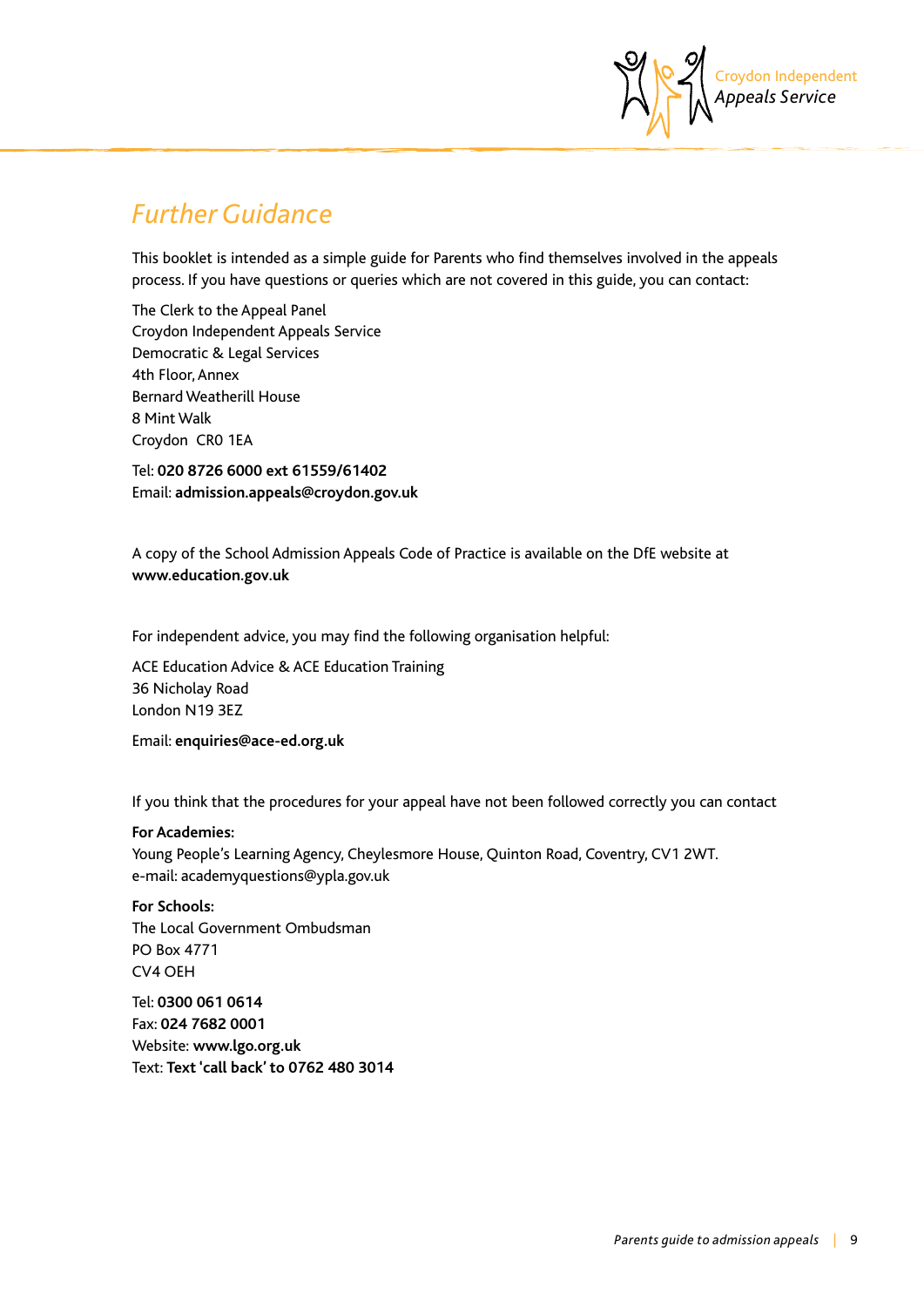

## *Further Guidance*

This booklet is intended as a simple guide for Parents who find themselves involved in the appeals process. If you have questions or queries which are not covered in this guide, you can contact:

The Clerk to the Appeal Panel Croydon Independent Appeals Service Democratic & Legal Services 4th Floor, Annex Bernard Weatherill House 8 Mint Walk Croydon CR0 1EA

Tel: **020 8726 6000 ext 61559/61402**  Email: **admission.appeals@croydon.gov.uk**

A copy of the School Admission Appeals Code of Practice is available on the DfE website at **www.education.gov.uk**

For independent advice, you may find the following organisation helpful:

ACE Education Advice & ACE Education Training 36 Nicholay Road London N19 3EZ

Email: **enquiries@ace-ed.org.uk**

If you think that the procedures for your appeal have not been followed correctly you can contact

#### **For Academies:**

Young People's Learning Agency, Cheylesmore House, Quinton Road, Coventry, CV1 2WT. e-mail: academyquestions@ypla.gov.uk

**For Schools:**  The Local Government Ombudsman PO Box 4771 CV4 OEH

Tel: **0300 061 0614**  Fax: **024 7682 0001**  Website: **www.lgo.org.uk**  Text: **Text 'call back' to 0762 480 3014**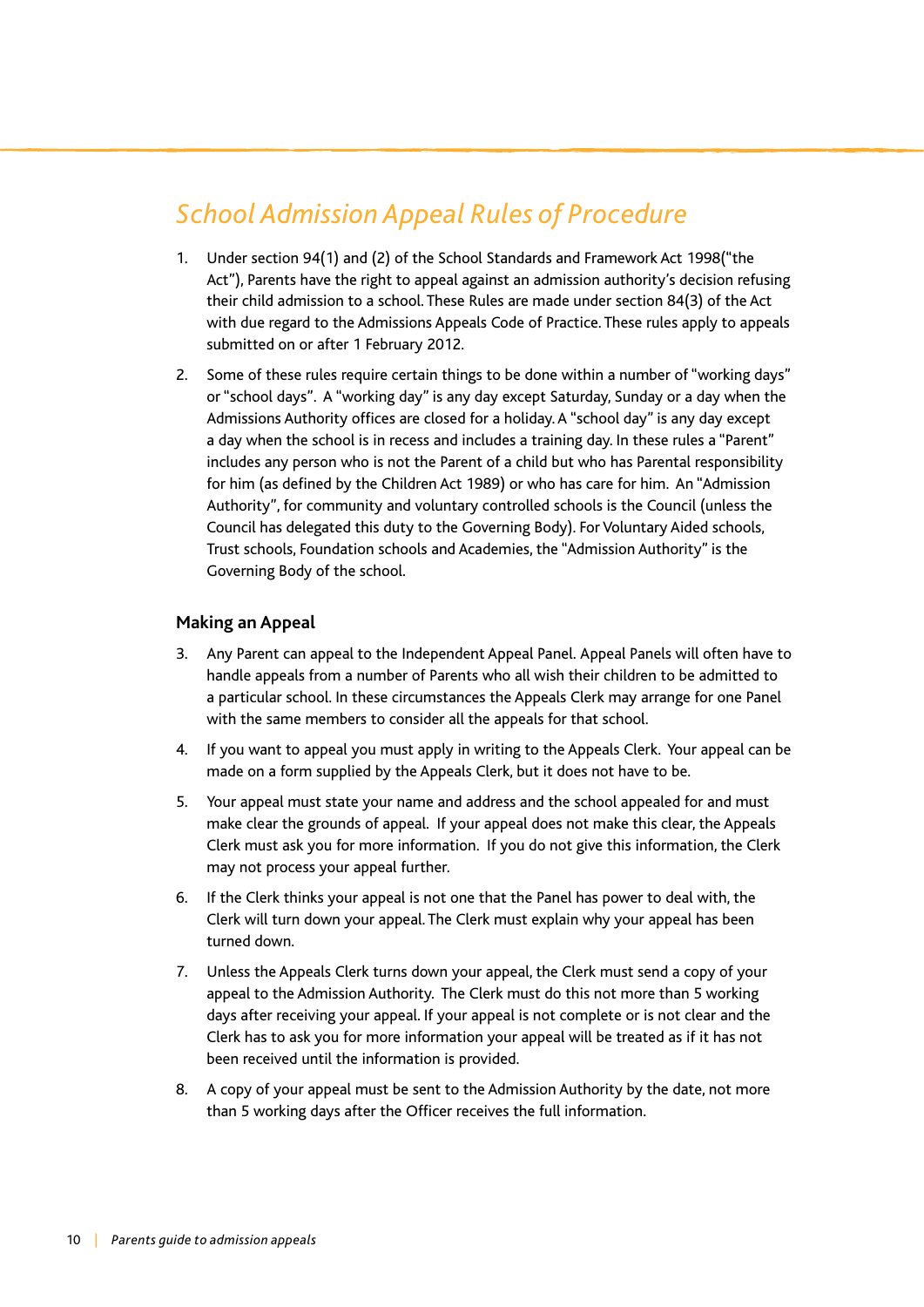# *School Admission Appeal Rules of Procedure*

- 1. Under section 94(1) and (2) of the School Standards and Framework Act 1998("the Act"), Parents have the right to appeal against an admission authority's decision refusing their child admission to a school. These Rules are made under section 84(3) of the Act with due regard to the Admissions Appeals Code of Practice. These rules apply to appeals submitted on or after 1 February 2012.
- 2. Some of these rules require certain things to be done within a number of "working days" or "school days". A "working day" is any day except Saturday, Sunday or a day when the Admissions Authority offices are closed for a holiday. A "school day" is any day except a day when the school is in recess and includes a training day. In these rules a "Parent" includes any person who is not the Parent of a child but who has Parental responsibility for him (as defined by the Children Act 1989) or who has care for him. An "Admission Authority", for community and voluntary controlled schools is the Council (unless the Council has delegated this duty to the Governing Body). For Voluntary Aided schools, Trust schools, Foundation schools and Academies, the "Admission Authority" is the Governing Body of the school.

#### **Making an Appeal**

- 3. Any Parent can appeal to the Independent Appeal Panel. Appeal Panels will often have to handle appeals from a number of Parents who all wish their children to be admitted to a particular school. In these circumstances the Appeals Clerk may arrange for one Panel with the same members to consider all the appeals for that school.
- 4. If you want to appeal you must apply in writing to the Appeals Clerk. Your appeal can be made on a form supplied by the Appeals Clerk, but it does not have to be.
- 5. Your appeal must state your name and address and the school appealed for and must make clear the grounds of appeal. If your appeal does not make this clear, the Appeals Clerk must ask you for more information. If you do not give this information, the Clerk may not process your appeal further.
- 6. If the Clerk thinks your appeal is not one that the Panel has power to deal with, the Clerk will turn down your appeal. The Clerk must explain why your appeal has been turned down.
- 7. Unless the Appeals Clerk turns down your appeal, the Clerk must send a copy of your appeal to the Admission Authority. The Clerk must do this not more than 5 working days after receiving your appeal. If your appeal is not complete or is not clear and the Clerk has to ask you for more information your appeal will be treated as if it has not been received until the information is provided.
- 8. A copy of your appeal must be sent to the Admission Authority by the date, not more than 5 working days after the Officer receives the full information.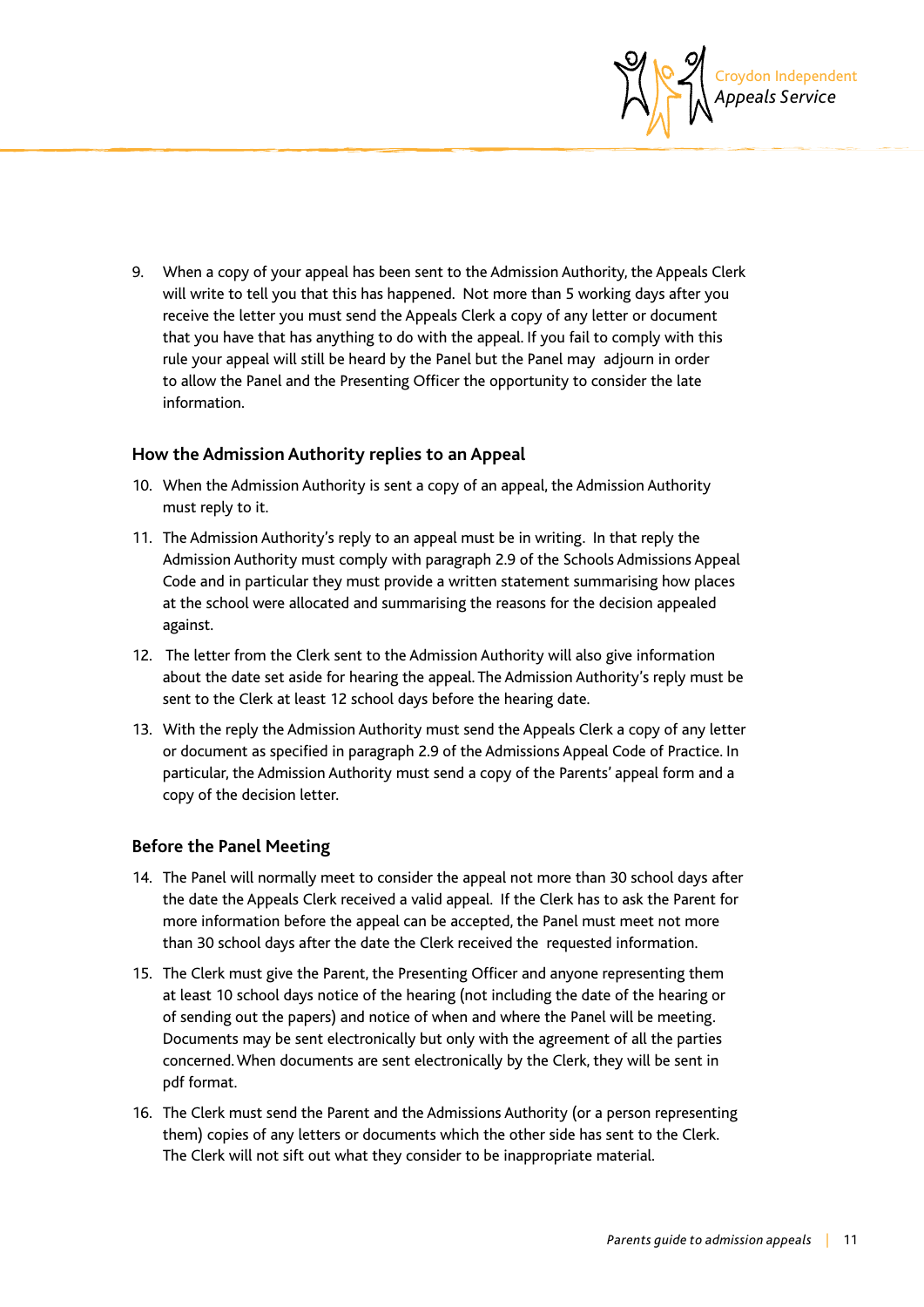

9. When a copy of your appeal has been sent to the Admission Authority, the Appeals Clerk will write to tell you that this has happened. Not more than 5 working days after you receive the letter you must send the Appeals Clerk a copy of any letter or document that you have that has anything to do with the appeal. If you fail to comply with this rule your appeal will still be heard by the Panel but the Panel may adjourn in order to allow the Panel and the Presenting Officer the opportunity to consider the late information.

#### **How the Admission Authority replies to an Appeal**

- 10. When the Admission Authority is sent a copy of an appeal, the Admission Authority must reply to it.
- 11. The Admission Authority's reply to an appeal must be in writing. In that reply the Admission Authority must comply with paragraph 2.9 of the Schools Admissions Appeal Code and in particular they must provide a written statement summarising how places at the school were allocated and summarising the reasons for the decision appealed against.
- 12. The letter from the Clerk sent to the Admission Authority will also give information about the date set aside for hearing the appeal. The Admission Authority's reply must be sent to the Clerk at least 12 school days before the hearing date.
- 13. With the reply the Admission Authority must send the Appeals Clerk a copy of any letter or document as specified in paragraph 2.9 of the Admissions Appeal Code of Practice. In particular, the Admission Authority must send a copy of the Parents' appeal form and a copy of the decision letter.

#### **Before the Panel Meeting**

- 14. The Panel will normally meet to consider the appeal not more than 30 school days after the date the Appeals Clerk received a valid appeal. If the Clerk has to ask the Parent for more information before the appeal can be accepted, the Panel must meet not more than 30 school days after the date the Clerk received the requested information.
- 15. The Clerk must give the Parent, the Presenting Officer and anyone representing them at least 10 school days notice of the hearing (not including the date of the hearing or of sending out the papers) and notice of when and where the Panel will be meeting. Documents may be sent electronically but only with the agreement of all the parties concerned. When documents are sent electronically by the Clerk, they will be sent in pdf format.
- 16. The Clerk must send the Parent and the Admissions Authority (or a person representing them) copies of any letters or documents which the other side has sent to the Clerk. The Clerk will not sift out what they consider to be inappropriate material.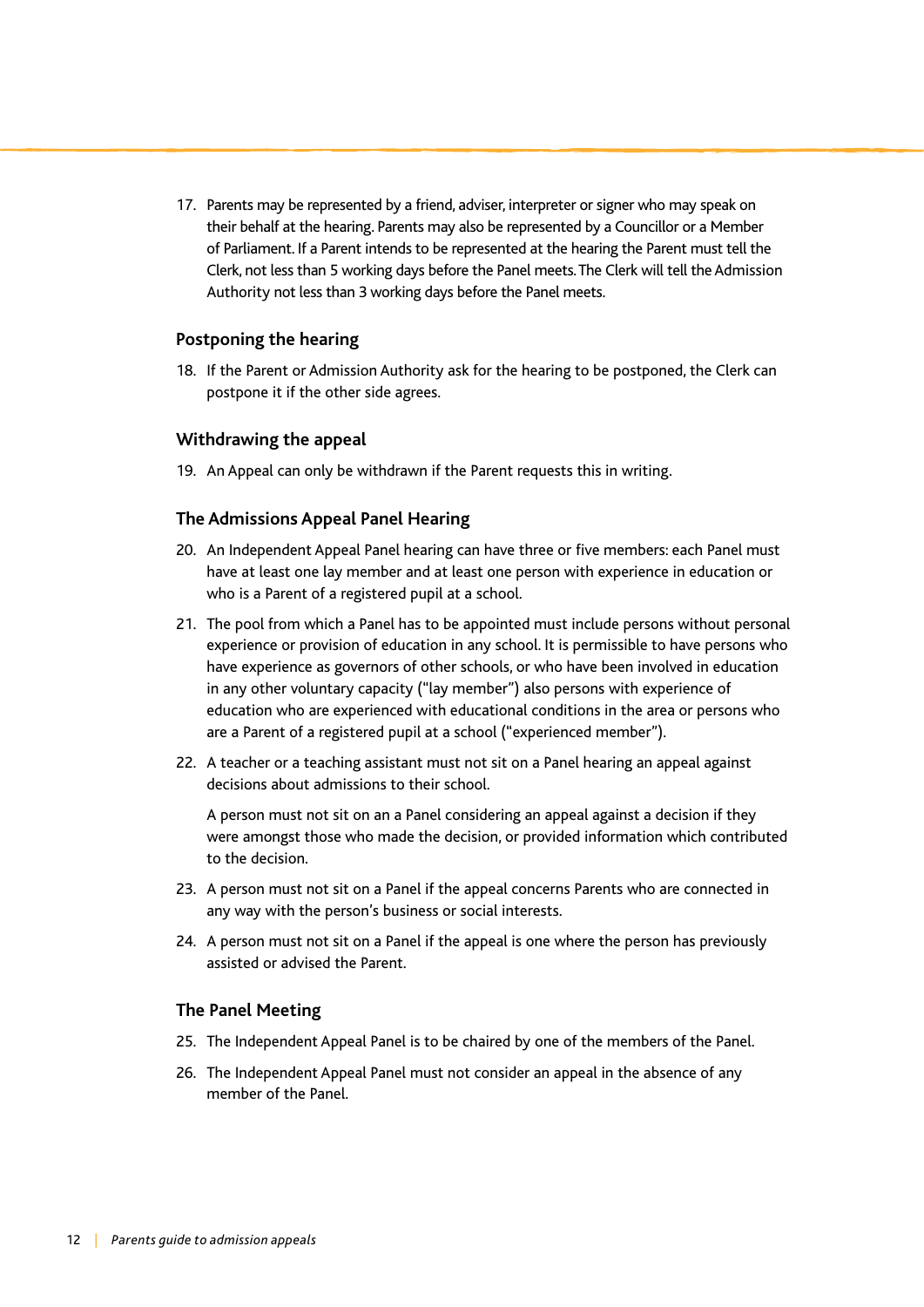17. Parents may be represented by a friend, adviser, interpreter or signer who may speak on their behalf at the hearing. Parents may also be represented by a Councillor or a Member of Parliament. If a Parent intends to be represented at the hearing the Parent must tell the Clerk, not less than 5 working days before the Panel meets. The Clerk will tell the Admission Authority not less than 3 working days before the Panel meets.

#### **Postponing the hearing**

18. If the Parent or Admission Authority ask for the hearing to be postponed, the Clerk can postpone it if the other side agrees.

#### **Withdrawing the appeal**

19. An Appeal can only be withdrawn if the Parent requests this in writing.

#### **The Admissions Appeal Panel Hearing**

- 20. An Independent Appeal Panel hearing can have three or five members: each Panel must have at least one lay member and at least one person with experience in education or who is a Parent of a registered pupil at a school.
- 21. The pool from which a Panel has to be appointed must include persons without personal experience or provision of education in any school. It is permissible to have persons who have experience as governors of other schools, or who have been involved in education in any other voluntary capacity ("lay member") also persons with experience of education who are experienced with educational conditions in the area or persons who are a Parent of a registered pupil at a school ("experienced member").
- 22. A teacher or a teaching assistant must not sit on a Panel hearing an appeal against decisions about admissions to their school.

A person must not sit on an a Panel considering an appeal against a decision if they were amongst those who made the decision, or provided information which contributed to the decision.

- 23. A person must not sit on a Panel if the appeal concerns Parents who are connected in any way with the person's business or social interests.
- 24. A person must not sit on a Panel if the appeal is one where the person has previously assisted or advised the Parent.

#### **The Panel Meeting**

- 25. The Independent Appeal Panel is to be chaired by one of the members of the Panel.
- 26. The Independent Appeal Panel must not consider an appeal in the absence of any member of the Panel.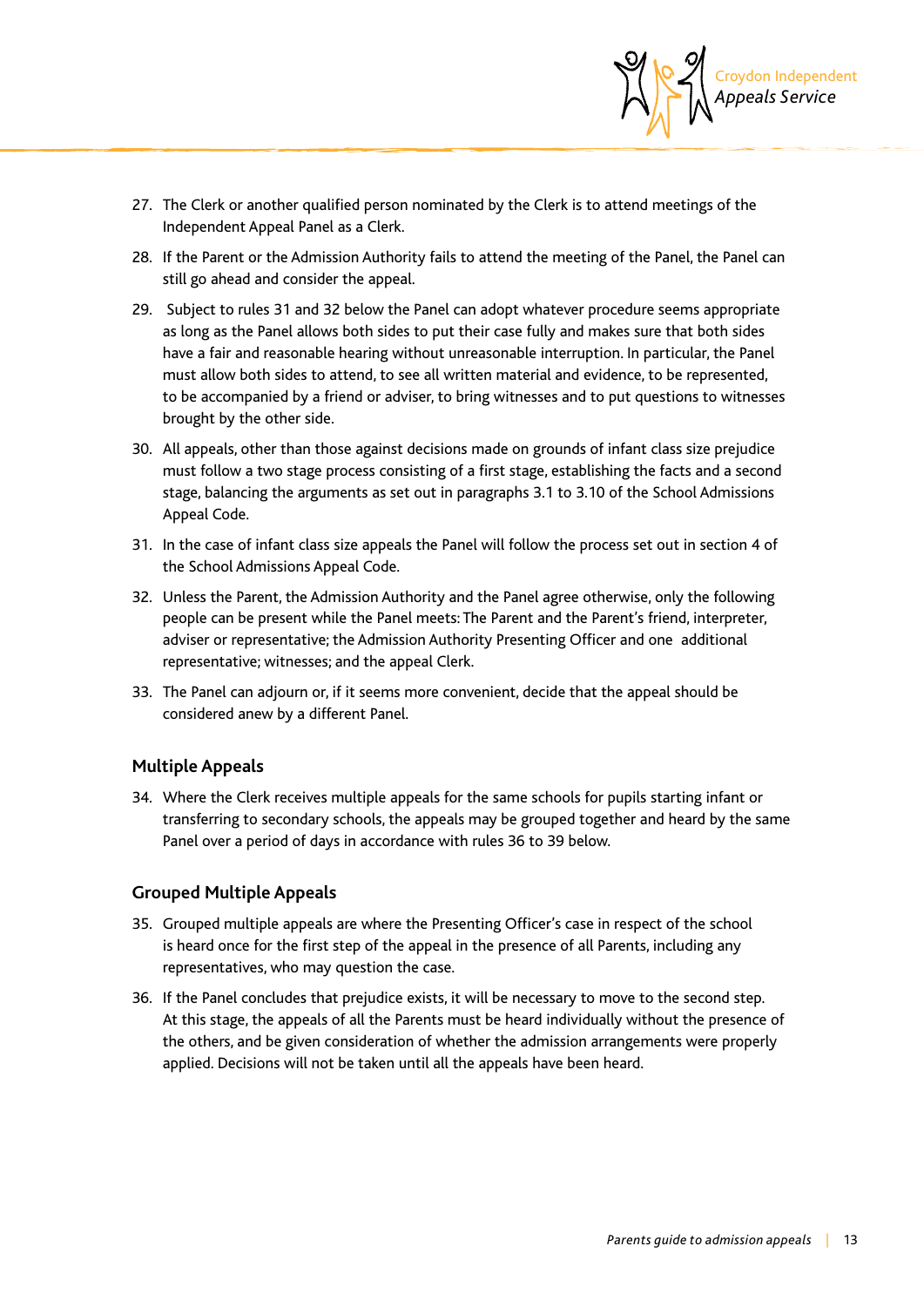

- 27. The Clerk or another qualified person nominated by the Clerk is to attend meetings of the Independent Appeal Panel as a Clerk.
- 28. If the Parent or the Admission Authority fails to attend the meeting of the Panel, the Panel can still go ahead and consider the appeal.
- 29. Subject to rules 31 and 32 below the Panel can adopt whatever procedure seems appropriate as long as the Panel allows both sides to put their case fully and makes sure that both sides have a fair and reasonable hearing without unreasonable interruption. In particular, the Panel must allow both sides to attend, to see all written material and evidence, to be represented, to be accompanied by a friend or adviser, to bring witnesses and to put questions to witnesses brought by the other side.
- 30. All appeals, other than those against decisions made on grounds of infant class size prejudice must follow a two stage process consisting of a first stage, establishing the facts and a second stage, balancing the arguments as set out in paragraphs 3.1 to 3.10 of the School Admissions Appeal Code.
- 31. In the case of infant class size appeals the Panel will follow the process set out in section 4 of the School Admissions Appeal Code.
- 32. Unless the Parent, the Admission Authority and the Panel agree otherwise, only the following people can be present while the Panel meets: The Parent and the Parent's friend, interpreter, adviser or representative; the Admission Authority Presenting Officer and one additional representative; witnesses; and the appeal Clerk.
- 33. The Panel can adjourn or, if it seems more convenient, decide that the appeal should be considered anew by a different Panel.

#### **Multiple Appeals**

34. Where the Clerk receives multiple appeals for the same schools for pupils starting infant or transferring to secondary schools, the appeals may be grouped together and heard by the same Panel over a period of days in accordance with rules 36 to 39 below.

#### **Grouped Multiple Appeals**

- 35. Grouped multiple appeals are where the Presenting Officer's case in respect of the school is heard once for the first step of the appeal in the presence of all Parents, including any representatives, who may question the case.
- 36. If the Panel concludes that prejudice exists, it will be necessary to move to the second step. At this stage, the appeals of all the Parents must be heard individually without the presence of the others, and be given consideration of whether the admission arrangements were properly applied. Decisions will not be taken until all the appeals have been heard.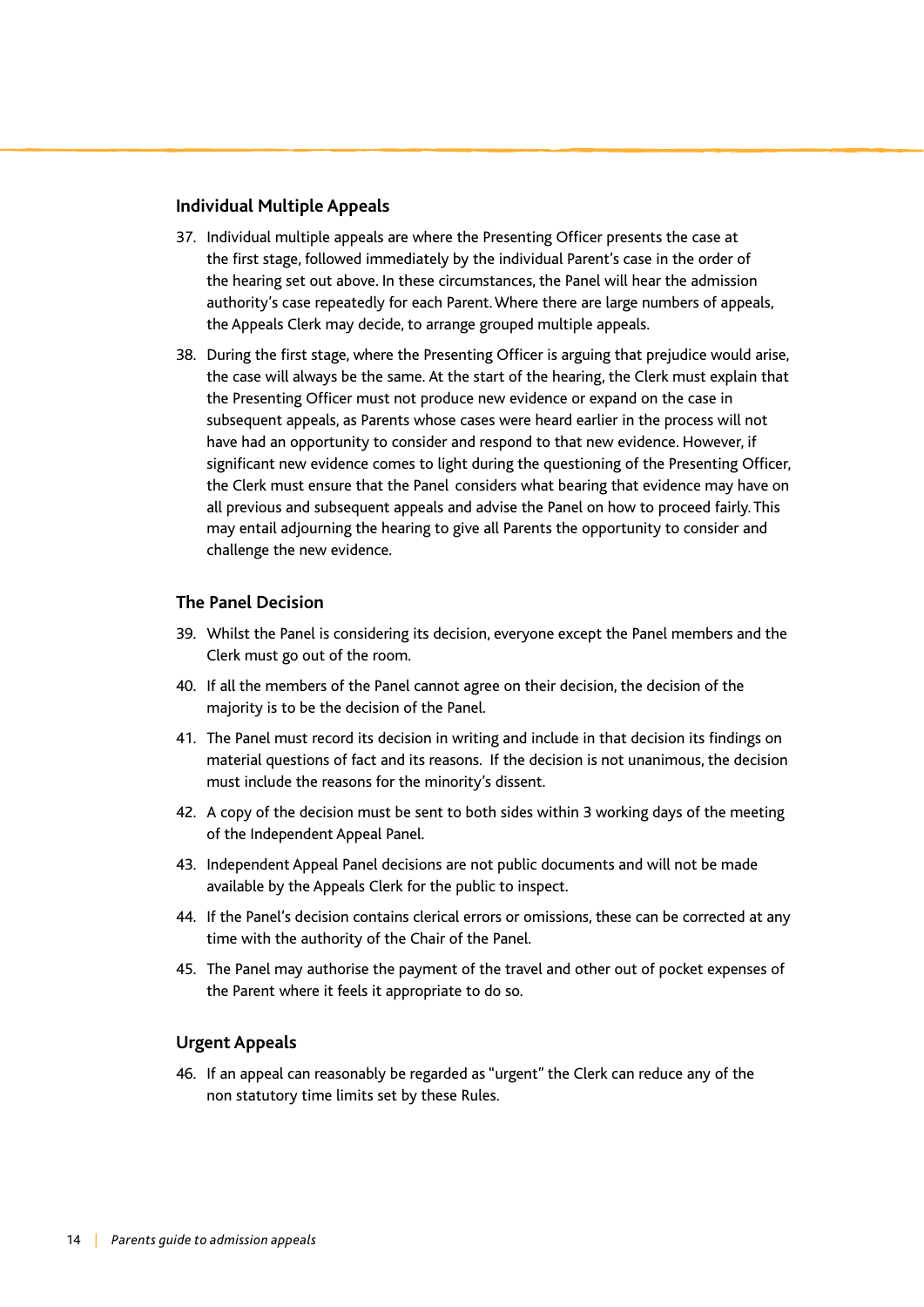#### **Individual Multiple Appeals**

- 37. Individual multiple appeals are where the Presenting Officer presents the case at the first stage, followed immediately by the individual Parent's case in the order of the hearing set out above. In these circumstances, the Panel will hear the admission authority's case repeatedly for each Parent. Where there are large numbers of appeals, the Appeals Clerk may decide, to arrange grouped multiple appeals.
- 38. During the first stage, where the Presenting Officer is arguing that prejudice would arise, the case will always be the same. At the start of the hearing, the Clerk must explain that the Presenting Officer must not produce new evidence or expand on the case in subsequent appeals, as Parents whose cases were heard earlier in the process will not have had an opportunity to consider and respond to that new evidence. However, if significant new evidence comes to light during the questioning of the Presenting Officer, the Clerk must ensure that the Panel considers what bearing that evidence may have on all previous and subsequent appeals and advise the Panel on how to proceed fairly. This may entail adjourning the hearing to give all Parents the opportunity to consider and challenge the new evidence.

#### **The Panel Decision**

- 39. Whilst the Panel is considering its decision, everyone except the Panel members and the Clerk must go out of the room.
- 40. If all the members of the Panel cannot agree on their decision, the decision of the majority is to be the decision of the Panel.
- 41. The Panel must record its decision in writing and include in that decision its findings on material questions of fact and its reasons. If the decision is not unanimous, the decision must include the reasons for the minority's dissent.
- 42. A copy of the decision must be sent to both sides within 3 working days of the meeting of the Independent Appeal Panel.
- 43. Independent Appeal Panel decisions are not public documents and will not be made available by the Appeals Clerk for the public to inspect.
- 44. If the Panel's decision contains clerical errors or omissions, these can be corrected at any time with the authority of the Chair of the Panel.
- 45. The Panel may authorise the payment of the travel and other out of pocket expenses of the Parent where it feels it appropriate to do so.

#### **Urgent Appeals**

46. If an appeal can reasonably be regarded as "urgent" the Clerk can reduce any of the non statutory time limits set by these Rules.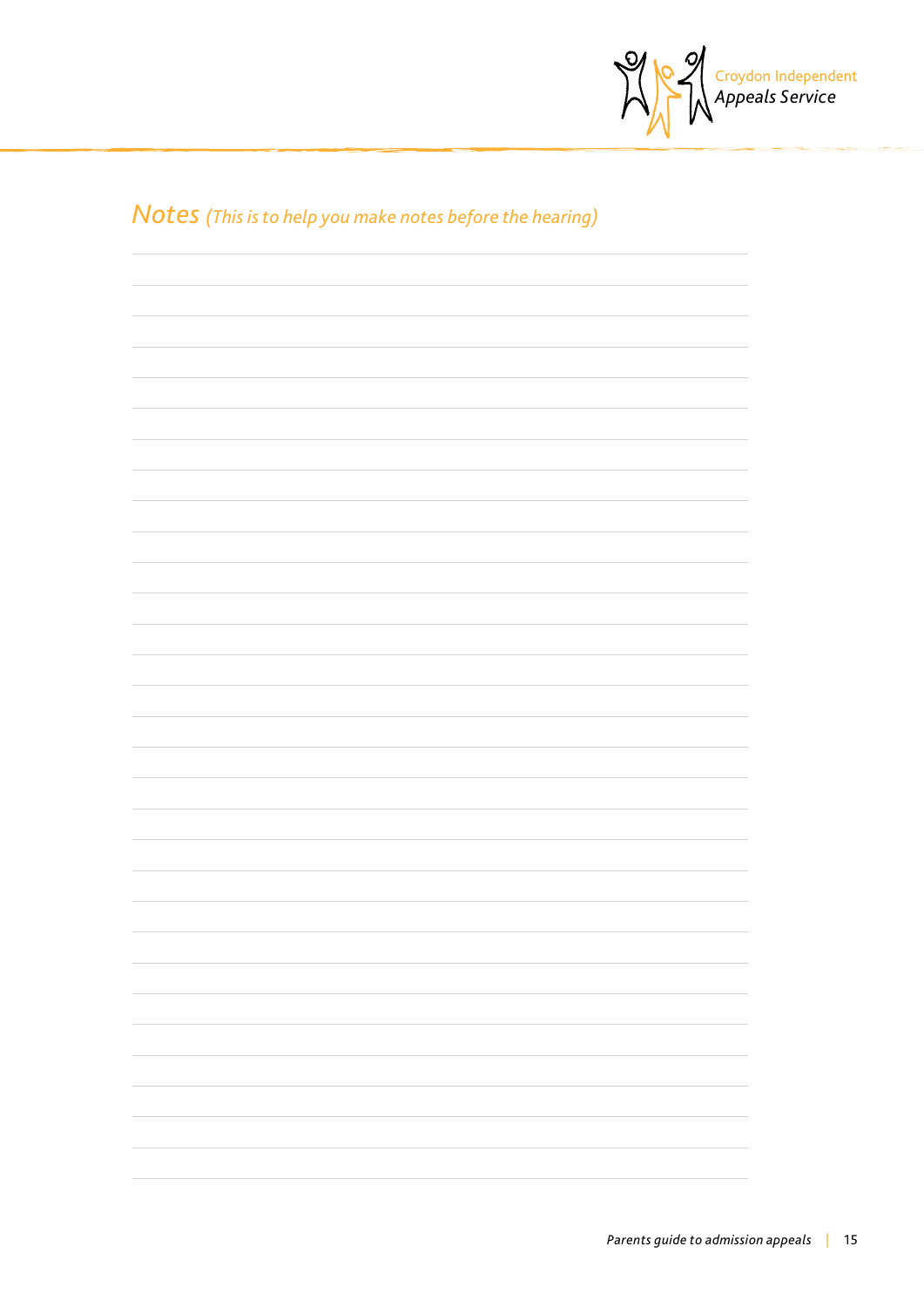

## *Notes (This is to help you make notes before the hearing)*